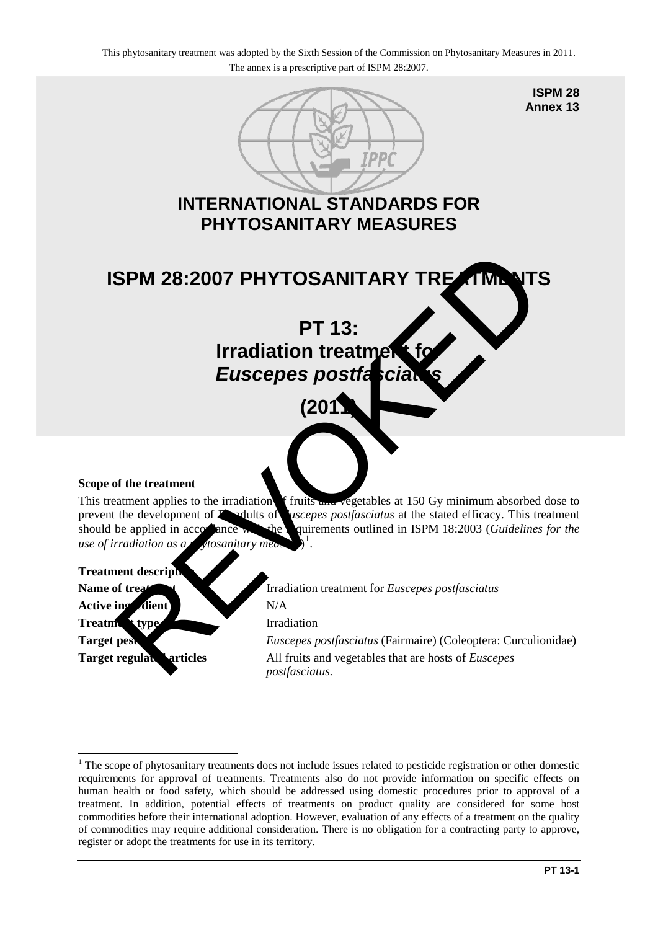

#### **Scope of the treatment**

This treatment applies to the irradiation f fruits and vegetables at 150 Gy minimum absorbed dose to prevent the development of F1 adults of *Euscepes postfasciatus* at the stated efficacy. This treatment should be applied in accordance with the quirements outlined in ISPM 18:2003 (*Guidelines for the use of irradiation as a phytosanitary measure* 1 .

### **Treatment descript**

<u>.</u>

Active ing dient N/A **Treatment type** Irradiation

**Name of treatment I** Irradiation treatment for *Euscepes postfasciatus* **Target pest** *Euscepes postfasciatus* (Fairmaire) (Coleoptera: Curculionidae) **Target regulated articles** All fruits and vegetables that are hosts of *Euscepes postfasciatus.*

<span id="page-0-0"></span><sup>&</sup>lt;sup>1</sup> The scope of phytosanitary treatments does not include issues related to pesticide registration or other domestic requirements for approval of treatments. Treatments also do not provide information on specific effects on human health or food safety, which should be addressed using domestic procedures prior to approval of a treatment. In addition, potential effects of treatments on product quality are considered for some host commodities before their international adoption. However, evaluation of any effects of a treatment on the quality of commodities may require additional consideration. There is no obligation for a contracting party to approve, register or adopt the treatments for use in its territory.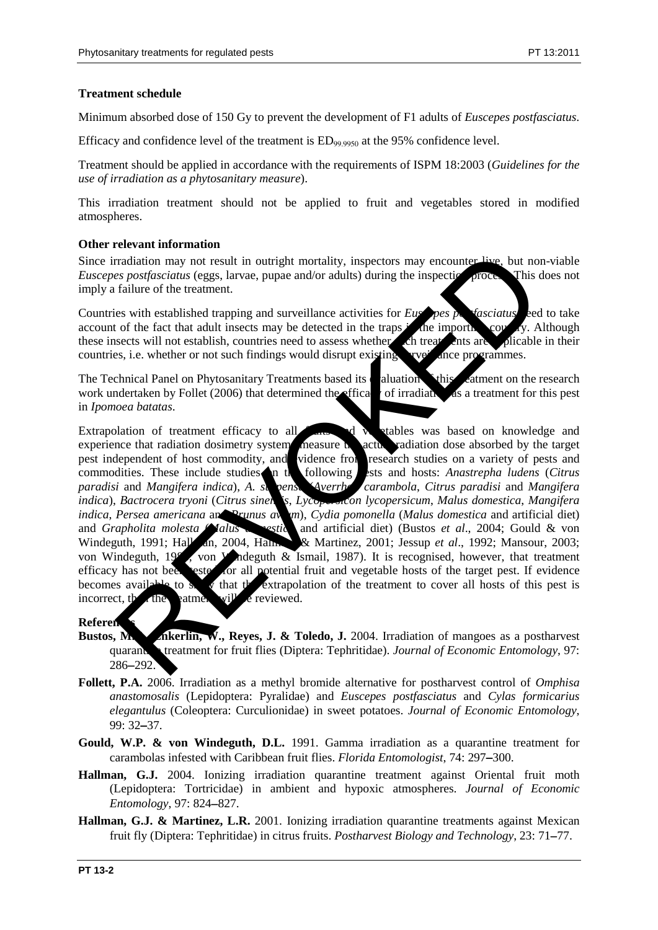# **Treatment schedule**

Minimum absorbed dose of 150 Gy to prevent the development of F1 adults of *Euscepes postfasciatus*.

Efficacy and confidence level of the treatment is  $ED_{99,9950}$  at the 95% confidence level.

Treatment should be applied in accordance with the requirements of ISPM 18:2003 (*Guidelines for the use of irradiation as a phytosanitary measure*).

This irradiation treatment should not be applied to fruit and vegetables stored in modified atmospheres.

### **Other relevant information**

Since irradiation may not result in outright mortality, inspectors may encounter live, but non-viable *Euscepes postfasciatus* (eggs, larvae, pupae and/or adults) during the inspection process. This does not imply a failure of the treatment.

Countries with established trapping and surveillance activities for *Euse pes postfasciatus* eed to take account of the fact that adult insects may be detected in the traps in the importing country. Although these insects will not establish, countries need to assess whether ch treat ents are plicable in their these insects will not establish, countries need to assess whether such treatments are countries, i.e. whether or not such findings would disrupt existing  $\Delta x$  ance programmes.

The Technical Panel on Phytosanitary Treatments based its evaluation  $\mathbf{v}$  this exament on the research work undertaken by Follet (2006) that determined the efficacy of irradiation as a treatment for this pest in *Ipomoea batatas*.

Extrapolation of treatment efficacy to all  $\mathbb{R}$  and vertables was based on knowledge and experience that radiation dosimetry systems measure the actual radiation dose absorbed by the target<br>pest independent of host commodity, and vidence from research studies on a variety of pests and pest independent of host commodity, and vidence from commodities. These include studies in the following ests and hosts: *Anastrepha ludens (Citrus paradisi* and *Mangifera indica*), *A. s. pensa* (*Averrhoff carambola, Citrus paradisi* and *Mangifera indica*), *Bactrocera tryoni* (*Citrus sinensis, Lycopersicon lycopersicum*, *Malus domestica*, *Mangifera indica*, *Persea americana* and *Prunus avaina)*, *Cydia pomonella* (*Malus domestica* and artificial diet) and *Grapholita molesta Malus deception and artificial diet)* (Bustos *et al.*, 2004; Gould & von Windeguth, 1991; Hall an, 2004, Hallman & Martinez, 2001; Jessup *et al.*, 1992; Mansour, 2003; von Windeguth, 1986, von Windeguth & Ismail, 1987). It is recognised, however, that treatment efficacy has not been tested for all potential fruit and vegetable hosts of the target pest. If evidence becomes available to  $s$ , what the extrapolation of the treatment to cover all hosts of this pest is incorrect, the then  $\mathbf{u}$  if  $\mathbf{u}$  be reviewed. practication may not result in outright mortality, inspectors may encounter-live, but not<br>failure of the treatment.<br>So soficialized tegns, large and/or adults) during the inspective arbives for<br>the failure of the fact tha

# **Referen**

- **Bustos, M.E., Enkerlin, W., Reyes, J. & Toledo, J.** 2004. Irradiation of mangoes as a postharvest quarantine treatment for fruit flies (Diptera: Tephritidae). *Journal of Economic Entomology*, 97: 286−292.
- **Follett, P.A.** 2006. Irradiation as a methyl bromide alternative for postharvest control of *Omphisa anastomosalis* (Lepidoptera: Pyralidae) and *Euscepes postfasciatus* and *Cylas formicarius elegantulus* (Coleoptera: Curculionidae) in sweet potatoes. *Journal of Economic Entomology*, 99: 32−37.
- **Gould, W.P. & von Windeguth, D.L.** 1991. Gamma irradiation as a quarantine treatment for carambolas infested with Caribbean fruit flies. *Florida Entomologist*, 74: 297−300.
- **Hallman, G.J.** 2004. Ionizing irradiation quarantine treatment against Oriental fruit moth (Lepidoptera: Tortricidae) in ambient and hypoxic atmospheres. *Journal of Economic Entomology*, 97: 824−827.
- **Hallman, G.J. & Martinez, L.R.** 2001. Ionizing irradiation quarantine treatments against Mexican fruit fly (Diptera: Tephritidae) in citrus fruits. *Postharvest Biology and Technology*, 23: 71−77.